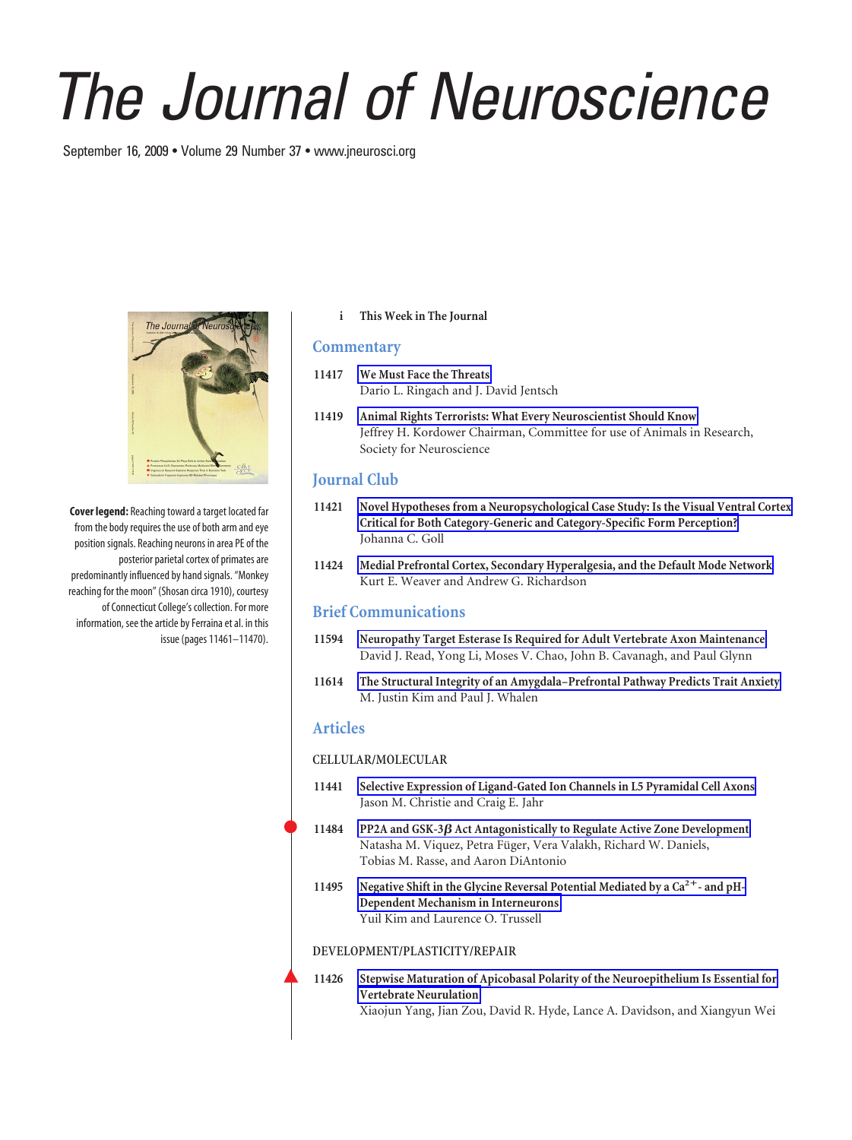# *The Journal of Neuroscience*

September 16, 2009 • Volume 29 Number 37 • www.jneurosci.org



**Cover legend:** Reaching toward a target located far from the body requires the use of both arm and eye position signals. Reaching neurons in area PE of the posterior parietal cortex of primates are predominantly influenced by hand signals. "Monkey reaching for the moon" (Shosan circa 1910), courtesy of Connecticut College's collection. For more information, see the article by Ferraina et al. in this issue (pages 11461–11470).

**i This Week in The Journal**

### **Commentary**

- **11417 We Must Face the Threats** Dario L. Ringach and J. David Jentsch
- **11419 Animal Rights Terrorists: What Every Neuroscientist Should Know** Jeffrey H. Kordower Chairman, Committee for use of Animals in Research, Society for Neuroscience

# **Journal Club**

- **11421 Novel Hypotheses from a Neuropsychological Case Study: Is the Visual Ventral Cortex Critical for Both Category-Generic and Category-Specific Form Perception?** Johanna C. Goll
- **11424 Medial Prefrontal Cortex, Secondary Hyperalgesia, and the Default Mode Network** Kurt E. Weaver and Andrew G. Richardson

## **Brief Communications**

- **11594 Neuropathy Target Esterase Is Required for Adult Vertebrate Axon Maintenance** David J. Read, Yong Li, Moses V. Chao, John B. Cavanagh, and Paul Glynn
- **11614 The Structural Integrity of an Amygdala–Prefrontal Pathway Predicts Trait Anxiety** M. Justin Kim and Paul J. Whalen

## **Articles**

#### **CELLULAR/MOLECULAR**

- **11441 Selective Expression of Ligand-Gated Ion Channels in L5 Pyramidal Cell Axons** Jason M. Christie and Craig E. Jahr
- **11484 PP2A and GSK-3 Act Antagonistically to Regulate Active Zone Development** Natasha M. Viquez, Petra Füger, Vera Valakh, Richard W. Daniels, Tobias M. Rasse, and Aaron DiAntonio
- 11495 Negative Shift in the Glycine Reversal Potential Mediated by a Ca<sup>2+</sup>- and pH-**Dependent Mechanism in Interneurons** Yuil Kim and Laurence O. Trussell

#### **DEVELOPMENT/PLASTICITY/REPAIR**

Œ **11426 Stepwise Maturation of Apicobasal Polarity of the Neuroepithelium Is Essential for Vertebrate Neurulation** Xiaojun Yang, Jian Zou, David R. Hyde, Lance A. Davidson, and Xiangyun Wei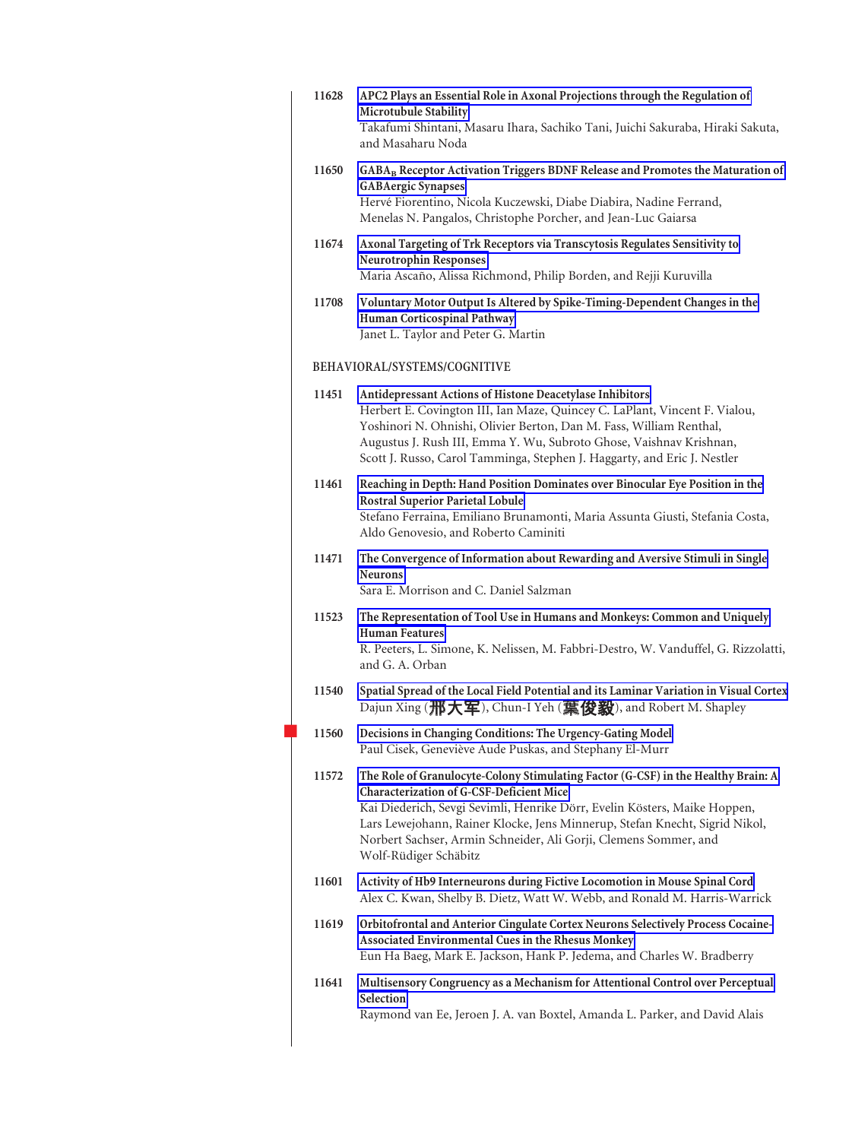| 11628 | APC2 Plays an Essential Role in Axonal Projections through the Regulation of<br>Microtubule Stability<br>Takafumi Shintani, Masaru Ihara, Sachiko Tani, Juichi Sakuraba, Hiraki Sakuta,<br>and Masaharu Noda                                                                                                                                                                           |
|-------|----------------------------------------------------------------------------------------------------------------------------------------------------------------------------------------------------------------------------------------------------------------------------------------------------------------------------------------------------------------------------------------|
| 11650 | GABA <sub>B</sub> Receptor Activation Triggers BDNF Release and Promotes the Maturation of<br><b>GABAergic Synapses</b><br>Hervé Fiorentino, Nicola Kuczewski, Diabe Diabira, Nadine Ferrand,<br>Menelas N. Pangalos, Christophe Porcher, and Jean-Luc Gaiarsa                                                                                                                         |
| 11674 | Axonal Targeting of Trk Receptors via Transcytosis Regulates Sensitivity to<br><b>Neurotrophin Responses</b><br>Maria Ascaño, Alissa Richmond, Philip Borden, and Rejji Kuruvilla                                                                                                                                                                                                      |
| 11708 | Voluntary Motor Output Is Altered by Spike-Timing-Dependent Changes in the<br>Human Corticospinal Pathway<br>Janet L. Taylor and Peter G. Martin                                                                                                                                                                                                                                       |
|       | BEHAVIORAL/SYSTEMS/COGNITIVE                                                                                                                                                                                                                                                                                                                                                           |
| 11451 | Antidepressant Actions of Histone Deacetylase Inhibitors<br>Herbert E. Covington III, Ian Maze, Quincey C. LaPlant, Vincent F. Vialou,<br>Yoshinori N. Ohnishi, Olivier Berton, Dan M. Fass, William Renthal,<br>Augustus J. Rush III, Emma Y. Wu, Subroto Ghose, Vaishnav Krishnan,<br>Scott J. Russo, Carol Tamminga, Stephen J. Haggarty, and Eric J. Nestler                       |
| 11461 | Reaching in Depth: Hand Position Dominates over Binocular Eye Position in the<br><b>Rostral Superior Parietal Lobule</b><br>Stefano Ferraina, Emiliano Brunamonti, Maria Assunta Giusti, Stefania Costa,<br>Aldo Genovesio, and Roberto Caminiti                                                                                                                                       |
| 11471 | The Convergence of Information about Rewarding and Aversive Stimuli in Single<br><b>Neurons</b><br>Sara E. Morrison and C. Daniel Salzman                                                                                                                                                                                                                                              |
| 11523 | The Representation of Tool Use in Humans and Monkeys: Common and Uniquely<br><b>Human Features</b><br>R. Peeters, L. Simone, K. Nelissen, M. Fabbri-Destro, W. Vanduffel, G. Rizzolatti,<br>and G. A. Orban                                                                                                                                                                            |
| 11540 | Spatial Spread of the Local Field Potential and its Laminar Variation in Visual Cortex<br>Dajun Xing ( <b>邢大军</b> ), Chun-I Yeh ( <b>葉俊毅</b> ), and Robert M. Shapley                                                                                                                                                                                                                  |
| 11560 | Decisions in Changing Conditions: The Urgency-Gating Model<br>Paul Cisek, Geneviève Aude Puskas, and Stephany El-Murr                                                                                                                                                                                                                                                                  |
| 11572 | The Role of Granulocyte-Colony Stimulating Factor (G-CSF) in the Healthy Brain: A<br>Characterization of G-CSF-Deficient Mice<br>Kai Diederich, Sevgi Sevimli, Henrike Dörr, Evelin Kösters, Maike Hoppen,<br>Lars Lewejohann, Rainer Klocke, Jens Minnerup, Stefan Knecht, Sigrid Nikol,<br>Norbert Sachser, Armin Schneider, Ali Gorji, Clemens Sommer, and<br>Wolf-Rüdiger Schäbitz |
| 11601 | Activity of Hb9 Interneurons during Fictive Locomotion in Mouse Spinal Cord<br>Alex C. Kwan, Shelby B. Dietz, Watt W. Webb, and Ronald M. Harris-Warrick                                                                                                                                                                                                                               |
| 11619 | Orbitofrontal and Anterior Cingulate Cortex Neurons Selectively Process Cocaine-<br>Associated Environmental Cues in the Rhesus Monkey<br>Eun Ha Baeg, Mark E. Jackson, Hank P. Jedema, and Charles W. Bradberry                                                                                                                                                                       |
| 11641 | Multisensory Congruency as a Mechanism for Attentional Control over Perceptual<br>Selection<br>Raymond van Ee, Jeroen J. A. van Boxtel, Amanda L. Parker, and David Alais                                                                                                                                                                                                              |
|       |                                                                                                                                                                                                                                                                                                                                                                                        |